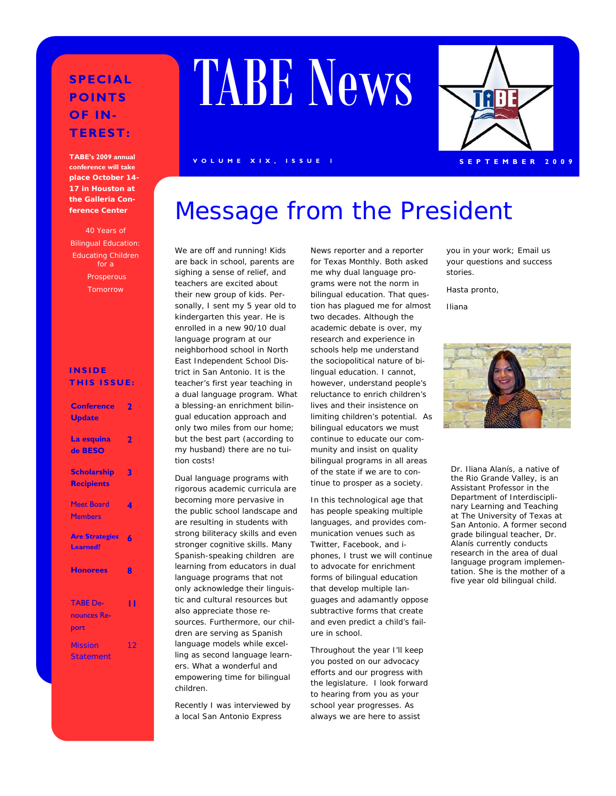#### **SPECIAL POINTS OF IN-TEREST:**

**TABE's 2009 annual conference will take place October 14- 17 in Houston at the Galleria Conference Center** 

40 Years of Bilingual Education: Educating Children for a Prosperous Tomorrow

#### **INSIDE THIS ISSUE:**

| <b>Conference</b><br><b>Update</b>       | 7   |
|------------------------------------------|-----|
| La esquina<br>de BESO                    | 2   |
| <b>Scholarship</b><br><b>Recipients</b>  | 3   |
| Meet Board<br><b>Members</b>             | 4   |
| <b>Are Strategies</b><br><b>Learned?</b> | 6   |
| <b>Honorees</b>                          | 8   |
| <b>TABE De-</b><br>nounces Re-<br>port   | ' ' |
| <b>Mission</b><br><b>Statement</b>       | 12  |

# TABE News

#### **VOLUME XIX, ISSUE 1** SEPTEMBER 2009

### Message from the President

We are off and running! Kids are back in school, parents are sighing a sense of relief, and teachers are excited about their new group of kids. Personally, I sent my 5 year old to kindergarten this year. He is enrolled in a new 90/10 dual language program at our neighborhood school in North East Independent School District in San Antonio. It is the teacher's first year teaching in a dual language program. What a blessing-an enrichment bilingual education approach and only two miles from our home; but the best part (according to my husband) there are no tuition costs!

Dual language programs with rigorous academic curricula are becoming more pervasive in the public school landscape and are resulting in students with strong biliteracy skills and even stronger cognitive skills. Many Spanish-speaking children are learning from educators in dual language programs that not only acknowledge their linguistic and cultural resources but also appreciate those resources. Furthermore, our children are serving as Spanish language models while excelling as second language learners. What a wonderful and empowering time for bilingual children.

Recently I was interviewed by a local *San Antonio Express* 

*News* reporter and a reporter for *Texas Monthly*. Both asked me why dual language programs were not the norm in bilingual education. That question has plagued me for almost two decades. Although the academic debate is over, my research and experience in schools help me understand the sociopolitical nature of bilingual education. I cannot, however, understand people's reluctance to enrich children's lives and their insistence on limiting children's potential. As bilingual educators we must continue to educate our community and insist on quality bilingual programs in all areas of the state if we are to continue to prosper as a society.

In this technological age that has people speaking multiple languages, and provides communication venues such as Twitter, Facebook, and iphones, I trust we will continue to advocate for enrichment forms of bilingual education that develop multiple languages and adamantly oppose subtractive forms that create and even predict a child's failure in school.

Throughout the year I'll keep you posted on our advocacy efforts and our progress with the legislature. I look forward to hearing from you as your school year progresses. As always we are here to assist

you in your work; Email us your questions and success stories.

Hasta pronto,

Iliana



Dr. Iliana Alanís, a native of the Rio Grande Valley, is an Assistant Professor in the Department of Interdisciplinary Learning and Teaching at The University of Texas at San Antonio. A former second grade bilingual teacher, Dr. Alanís currently conducts research in the area of dual language program implementation. She is the mother of a five year old bilingual child.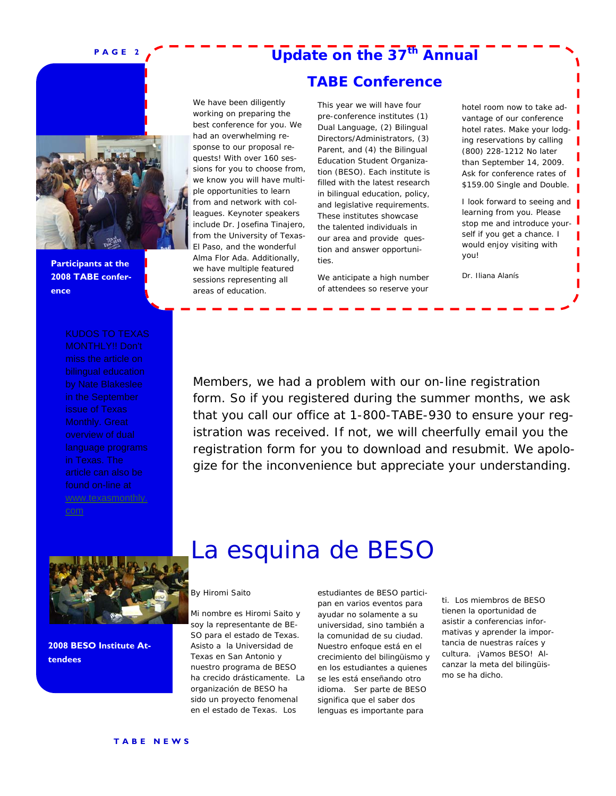### **Update on the 37th Annual**

**TABE Conference** 

**Participants at the 2008 TABE conference** 

by Nate Blakeslee

www.texasmonthly. com

#### We have been diligently working on preparing the best conference for you. We had an overwhelming response to our proposal requests! With over 160 sessions for you to choose from, we know you will have multiple opportunities to learn from and network with colleagues. Keynoter speakers include Dr. Josefina Tinajero, from the University of Texas-El Paso, and the wonderful Alma Flor Ada. Additionally, we have multiple featured sessions representing all areas of education.

This year we will have four pre-conference institutes (1) Dual Language, (2) Bilingual Directors/Administrators, (3) Parent, and (4) the Bilingual Education Student Organization (BESO). Each institute is filled with the latest research in bilingual education, policy, and legislative requirements. These institutes showcase the talented individuals in our area and provide question and answer opportunities.

We anticipate a high number of attendees so reserve your

hotel room now to take advantage of our conference hotel rates. Make your lodging reservations by calling (800) 228-1212 No later than September 14, 2009. Ask for conference rates of \$159.00 Single and Double.

I look forward to seeing and learning from you. Please stop me and introduce yourself if you get a chance. I would enjoy visiting with you!

Dr. Iliana Alanís

Members, we had a problem with our on-line registration form. So if you registered during the summer months, we ask that you call our office at 1-800-TABE-930 to ensure your registration was received. If not, we will cheerfully email you the registration form for you to download and resubmit. We apologize for the inconvenience but appreciate your understanding.



**2008 BESO Institute Attendees** 

### La esquina de BESO

#### By Hiromi Saito

Mi nombre es Hiromi Saito y soy la representante de BE-SO para el estado de Texas. Asisto a la Universidad de Texas en San Antonio y nuestro programa de BESO ha crecido drásticamente. La organización de BESO ha sido un proyecto fenomenal en el estado de Texas. Los

estudiantes de BESO participan en varios eventos para ayudar no solamente a su universidad, sino también a la comunidad de su ciudad. Nuestro enfoque está en el crecimiento del bilingüismo y en los estudiantes a quienes se les está enseñando otro idioma. Ser parte de BESO significa que el saber dos lenguas es importante para

ti. Los miembros de BESO tienen la oportunidad de asistir a conferencias informativas y aprender la importancia de nuestras raíces y cultura. ¡Vamos BESO! Alcanzar la meta del bilingüismo se ha dicho.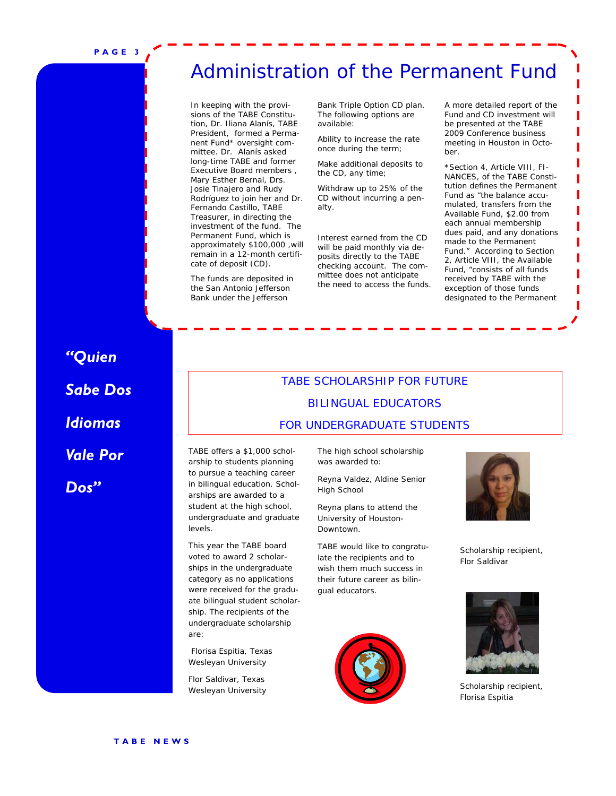### Administration of the Permanent Fund

In keeping with the provisions of the TABE Constitution, Dr. Iliana Alanís, TABE President, formed a Permanent Fund\* oversight committee. Dr. Alanís asked long-time TABE and former Executive Board members , Mary Esther Bernal, Drs. Josie Tinajero and Rudy Rodríguez to join her and Dr. Fernando Castillo, TABE Treasurer, in directing the investment of the fund. The Permanent Fund, which is approximately \$100,000 ,will remain in a 12-month certificate of deposit (CD).

The funds are deposited in the San Antonio Jefferson Bank under the Jefferson

Bank Triple Option CD plan. The following options are available:

Ability to increase the rate once during the term;

Make additional deposits to the CD, any time;

Withdraw up to 25% of the CD without incurring a penalty.

Interest earned from the CD will be paid monthly via deposits directly to the TABE checking account. The committee does not anticipate the need to access the funds.

A more detailed report of the Fund and CD investment will be presented at the TABE 2009 Conference business meeting in Houston in October.

\*Section 4, Article VIII, FI-NANCES, of the TABE Constitution defines the Permanent Fund as "the balance accumulated, transfers from the Available Fund, \$2.00 from each annual membership dues paid, and any donations made to the Permanent Fund." According to Section 2, Article VIII, the Available Fund, "consists of all funds received by TABE with the exception of those funds designated to the Permanent

### *"Quien Sabe Dos Idiomas Vale Por Dos"*

#### TABE SCHOLARSHIP FOR FUTURE BILINGUAL EDUCATORS FOR UNDERGRADUATE STUDENTS

TABE offers a \$1,000 scholarship to students planning to pursue a teaching career in bilingual education. Scholarships are awarded to a student at the high school, undergraduate and graduate levels.

This year the TABE board voted to award 2 scholarships in the undergraduate category as no applications were received for the graduate bilingual student scholarship. The recipients of the undergraduate scholarship are:

 Florisa Espitia, Texas Wesleyan University

Flor Saldivar, Texas Wesleyan University The high school scholarship was awarded to:

Reyna Valdez, Aldine Senior High School

Reyna plans to attend the University of Houston-Downtown.

TABE would like to congratulate the recipients and to wish them much success in their future career as bilingual educators.





Scholarship recipient, Flor Saldivar



Scholarship recipient, Florisa Espitia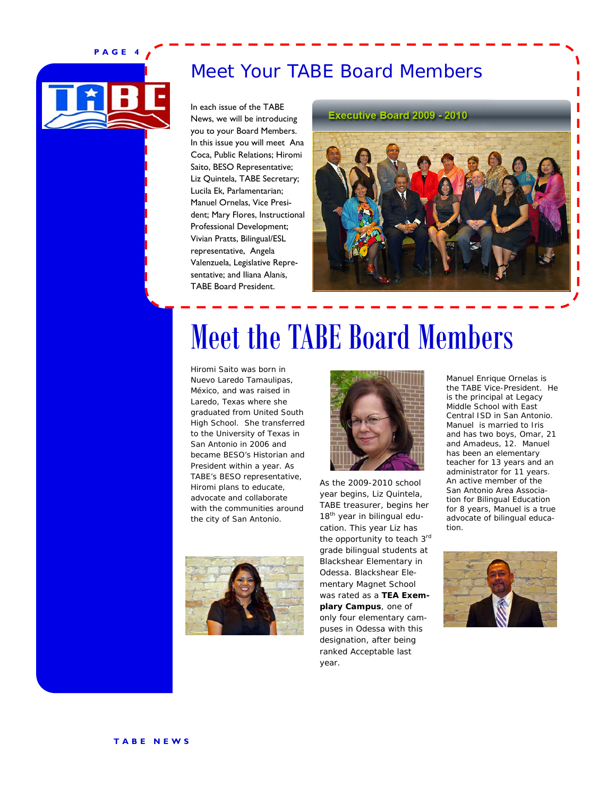

### Meet Your TABE Board Members

In each issue of the TABE News, we will be introducing you to your Board Members. In this issue you will meet Ana Coca, Public Relations; Hiromi Saito, BESO Representative; Liz Quintela, TABE Secretary; Lucila Ek, Parlamentarian; Manuel Ornelas, Vice President; Mary Flores, Instructional Professional Development; Vivian Pratts, Bilingual/ESL representative, Angela Valenzuela, Legislative Representative; and Iliana Alanís, TABE Board President.

**Executive Board 2009 - 2010** 



## Meet the TABE Board Members

Hiromi Saito was born in Nuevo Laredo Tamaulipas, México, and was raised in Laredo, Texas where she graduated from United South High School. She transferred to the University of Texas in San Antonio in 2006 and became BESO's Historian and President within a year. As TABE's BESO representative, Hiromi plans to educate, advocate and collaborate with the communities around the city of San Antonio.





As the 2009-2010 school year begins, Liz Quintela, TABE treasurer, begins her 18<sup>th</sup> year in bilingual education. This year Liz has the opportunity to teach 3rd grade bilingual students at Blackshear Elementary in Odessa. Blackshear Elementary Magnet School was rated as a *TEA Exemplary Campus*, one of only four elementary campuses in Odessa with this designation, after being ranked Acceptable last year.

Manuel Enrique Ornelas is the TABE Vice-President. He is the principal at Legacy Middle School with East Central ISD in San Antonio. Manuel is married to Iris and has two boys, Omar, 21 and Amadeus, 12. Manuel has been an elementary teacher for 13 years and an administrator for 11 years. An active member of the San Antonio Area Association for Bilingual Education for 8 years, Manuel is a true advocate of bilingual education.

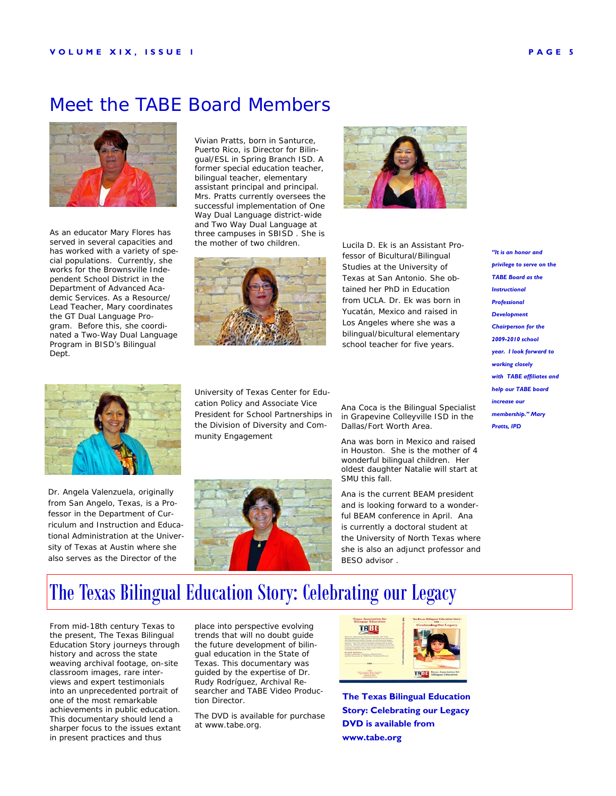#### Meet the TABE Board Members



As an educator Mary Flores has served in several capacities and has worked with a variety of special populations. Currently, she works for the Brownsville Independent School District in the Department of Advanced Academic Services. As a Resource/ Lead Teacher, Mary coordinates the GT Dual Language Program. Before this, she coordinated a Two-Way Dual Language Program in BISD's Bilingual Dept.





Lucila D. Ek is an Assistant Professor of Bicultural/Bilingual Studies at the University of Texas at San Antonio. She obtained her PhD in Education from UCLA. Dr. Ek was born in Yucatán, Mexico and raised in Los Angeles where she was a bilingual/bicultural elementary school teacher for five years.



Dr. Angela Valenzuela, originally from San Angelo, Texas, is a Professor in the Department of Curriculum and Instruction and Educational Administration at the University of Texas at Austin where she also serves as the Director of the

University of Texas Center for Education Policy and Associate Vice President for School Partnerships in the Division of Diversity and Community Engagement

![](_page_4_Picture_11.jpeg)

Ana Coca is the Bilingual Specialist in Grapevine Colleyville ISD in the Dallas/Fort Worth Area.

Ana was born in Mexico and raised in Houston. She is the mother of 4 wonderful bilingual children. Her oldest daughter Natalie will start at SMU this fall.

Ana is the current BEAM president and is looking forward to a wonderful BEAM conference in April. Ana is currently a doctoral student at the University of North Texas where she is also an adjunct professor and BESO advisor .

*"It is an honor and privilege to serve on the TABE Board as the Instructional Professional Development Chairperson for the 2009-2010 school year. I look forward to working closely with TABE affiliates and help our TABE board increase our membership." Mary Pratts, IPD* 

The Texas Bilingual Education Story: Celebrating our Legacy

From mid-18th century Texas to the present, *The Texas Bilingual Education Story* journeys through history and across the state weaving archival footage, on-site classroom images, rare interviews and expert testimonials into an unprecedented portrait of one of the most remarkable achievements in public education. This documentary should lend a sharper focus to the issues extant in present practices and thus

place into perspective evolving trends that will no doubt guide the future development of bilingual education in the State of Texas. This documentary was guided by the expertise of Dr. Rudy Rodríguez, Archival Researcher and TABE Video Production Director.

The DVD is available for purchase at www.tabe.org.

![](_page_4_Picture_20.jpeg)

**The Texas Bilingual Education Story: Celebrating our Legacy DVD is available from www.tabe.org**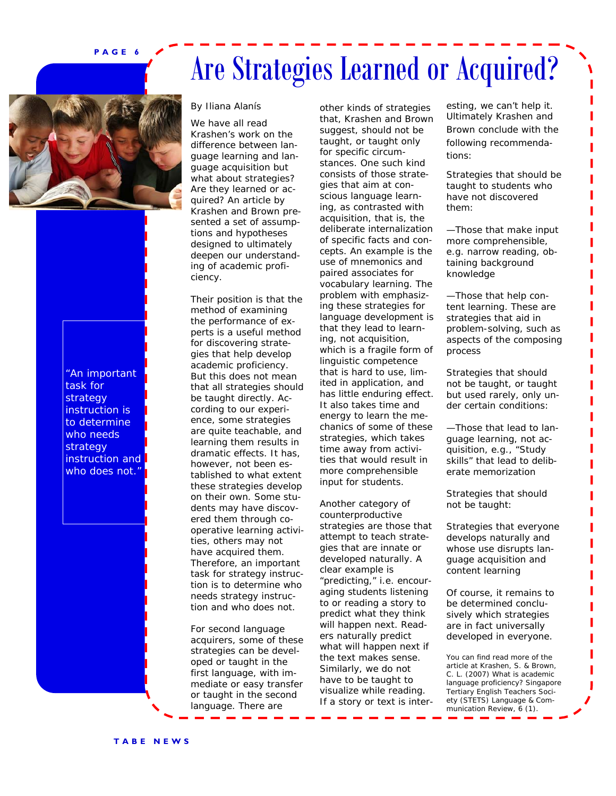## Are Strategies Learned or Acquired?

![](_page_5_Picture_2.jpeg)

"An important task for strategy instruction is to determine who needs strategy instruction and who does not.'

#### By Iliana Alanís

We have all read Krashen's work on the difference between language learning and language acquisition but what about strategies? Are they learned or acquired? An article by Krashen and Brown presented a set of assumptions and hypotheses designed to ultimately deepen our understanding of academic proficiency.

Their position is that the method of examining the performance of experts is a useful method for discovering strategies that help develop academic proficiency. But this does not mean that all strategies should be taught directly. According to our experience, some strategies are quite teachable, and learning them results in dramatic effects. It has, however, not been established to what extent these strategies develop on their own. Some students may have discovered them through cooperative learning activities, others may not have acquired them. Therefore, an important task for strategy instruction is to determine who needs strategy instruction and who does not.

For second language acquirers, some of these strategies can be developed or taught in the first language, with immediate or easy transfer or taught in the second language. There are

other kinds of strategies that, Krashen and Brown suggest, should not be taught, or taught only for specific circumstances. One such kind consists of those strategies that aim at conscious language learning, as contrasted with acquisition, that is, the deliberate internalization of specific facts and concepts. An example is the use of mnemonics and paired associates for vocabulary learning. The problem with emphasizing these strategies for language development is that they lead to learning, not acquisition, which is a fragile form of linguistic competence that is hard to use, limited in application, and has little enduring effect. It also takes time and energy to learn the mechanics of some of these strategies, which takes time away from activities that would result in more comprehensible input for students.

Another category of counterproductive strategies are those that attempt to teach strategies that are innate or developed naturally. A clear example is "predicting," i.e. encouraging students listening to or reading a story to predict what they think will happen next. Readers naturally predict what will happen next if the text makes sense. Similarly, we do not have to be taught to visualize while reading. If a story or text is inter-

esting, we can't help it. Ultimately Krashen and Brown conclude with the following recommendations:

Strategies that should be taught to students who have not discovered them:

—Those that make input more comprehensible, e.g. narrow reading, obtaining background knowledge

—Those that help content learning. These are strategies that aid in problem-solving, such as aspects of the composing process

Strategies that should not be taught, or taught but used rarely, only under certain conditions:

—Those that lead to language learning, not acquisition, e.g., "Study skills" that lead to deliberate memorization

Strategies that should not be taught:

Strategies that everyone develops naturally and whose use disrupts language acquisition and content learning

Of course, it remains to be determined conclusively which strategies are in fact universally developed in everyone.

You can find read more of the article at Krashen, S. & Brown, C. L. (2007) What is academic language proficiency? *Singapore Tertiary English Teachers Society (STETS) Language & Communication Review, 6 (1)*.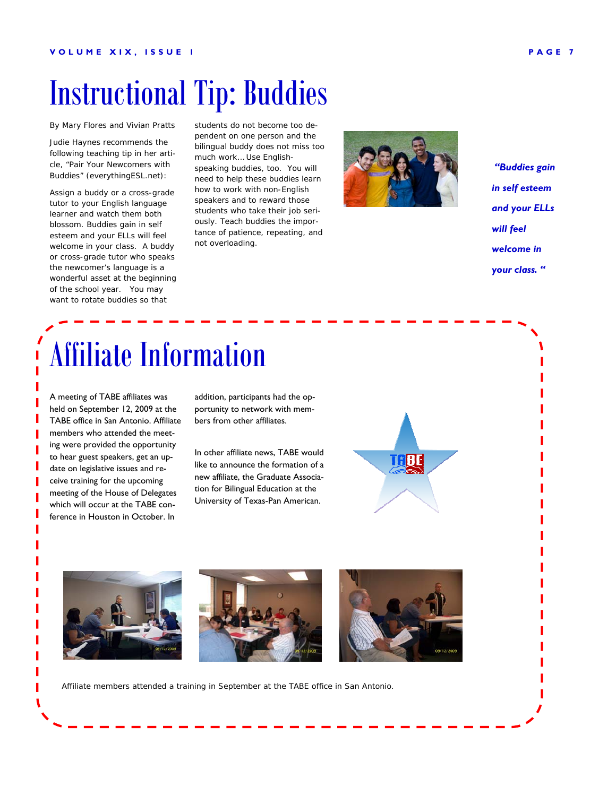## Instructional Tip: Buddies

By Mary Flores and Vivian Pratts

Judie Haynes recommends the following teaching tip in her article, "Pair Your Newcomers with Buddies" (*everythingESL.net):*

Assign a buddy or a cross-grade tutor to your English language learner and watch them both blossom. Buddies gain in self esteem and your ELLs will feel welcome in your class. A buddy or cross-grade tutor who speaks the newcomer's language is a wonderful asset at the beginning of the school year. You may want to rotate buddies so that

students do not become too dependent on one person and the bilingual buddy does not miss too much work… Use Englishspeaking buddies, too. You will need to help these buddies learn how to work with non-English speakers and to reward those students who take their job seriously. Teach buddies the importance of patience, repeating, and not overloading.

![](_page_6_Picture_6.jpeg)

 *"Buddies gain in self esteem and your ELLs will feel welcome in your class. "* 

## Affiliate Information

A meeting of TABE affiliates was held on September 12, 2009 at the TABE office in San Antonio. Affiliate members who attended the meeting were provided the opportunity to hear guest speakers, get an update on legislative issues and receive training for the upcoming meeting of the House of Delegates which will occur at the TABE conference in Houston in October. In

addition, participants had the opportunity to network with members from other affiliates.

In other affiliate news, TABE would like to announce the formation of a new affiliate, the Graduate Association for Bilingual Education at the University of Texas-Pan American.

![](_page_6_Picture_12.jpeg)

![](_page_6_Picture_13.jpeg)

![](_page_6_Picture_14.jpeg)

Affiliate members attended a training in September at the TABE office in San Antonio.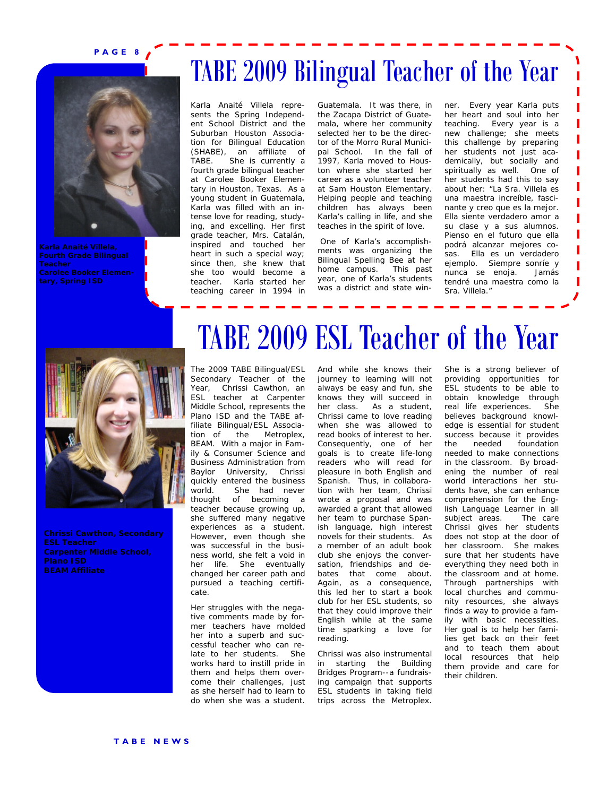![](_page_7_Picture_1.jpeg)

### TABE 2009 Bilingual Teacher of the Year

Karla Anaité Villela represents the Spring Independent School District and the Suburban Houston Association for Bilingual Education (SHABE), an affiliate of TABE. She is currently a fourth grade bilingual teacher at Carolee Booker Elementary in Houston, Texas. As a young student in Guatemala, Karla was filled with an intense love for reading, studying, and excelling. Her first grade teacher, Mrs. Catalán, inspired and touched her heart in such a special way; since then, she knew that she too would become a teacher. Karla started her teaching career in 1994 in Guatemala. It was there, in the Zacapa District of Guatemala, where her community selected her to be the director of the Morro Rural Municipal School. In the fall of 1997, Karla moved to Houston where she started her career as a volunteer teacher at Sam Houston Elementary. Helping people and teaching children has always been Karla's calling in life, and she teaches in the spirit of love.

 One of Karla's accomplishments was organizing the Bilingual Spelling Bee at her home campus. This past year, one of Karla's students was a district and state win-

ner. Every year Karla puts her heart and soul into her teaching. Every year is a new challenge; she meets this challenge by preparing her students not just academically, but socially and spiritually as well. One of her students had this to say about her: "La Sra. Villela es una maestra increíble, fascinante y creo que es la mejor. Ella siente verdadero amor a su clase y a sus alumnos. Pienso en el futuro que ella podrá alcanzar mejores cosas. Ella es un verdadero ejemplo. Siempre sonríe y nunca se enoja. Jamás tendré una maestra como la Sra. Villela."

![](_page_7_Picture_8.jpeg)

**Chrissi Cawthon, Secondary Carpenter Middle School, BEAM Affiliate** 

## TABE 2009 ESL Teacher of the Year

The 2009 TABE Bilingual/ESL Secondary Teacher of the Year, Chrissi Cawthon, an ESL teacher at Carpenter Middle School, represents the Plano ISD and the TABE affiliate Bilingual/ESL Association of the Metroplex, BEAM. With a major in Family & Consumer Science and Business Administration from Baylor University, Chrissi quickly entered the business world. She had never thought of becoming a teacher because growing up, she suffered many negative experiences as a student. However, even though she was successful in the business world, she felt a void in her life. She eventually changed her career path and pursued a teaching certificate.

Her struggles with the negative comments made by former teachers have molded her into a superb and successful teacher who can relate to her students. She works hard to instill pride in them and helps them overcome their challenges, just as she herself had to learn to do when she was a student.

And while she knows their journey to learning will not always be easy and fun, she knows they will succeed in her class. As a student, Chrissi came to love reading when she was allowed to read books of interest to her. Consequently, one of her goals is to create life-long readers who will read for pleasure in both English and Spanish. Thus, in collaboration with her team, Chrissi wrote a proposal and was awarded a grant that allowed her team to purchase Spanish language, high interest novels for their students. As a member of an adult book club she enjoys the conversation, friendships and debates that come about. Again, as a consequence, this led her to start a book club for her ESL students, so that they could improve their English while at the same time sparking a love for reading.

Chrissi was also instrumental in starting the Building Bridges Program--a fundraising campaign that supports ESL students in taking field trips across the Metroplex.

She is a strong believer of providing opportunities for ESL students to be able to obtain knowledge through real life experiences. She believes background knowledge is essential for student success because it provides the needed foundation needed to make connections in the classroom. By broadening the number of real world interactions her students have, she can enhance comprehension for the English Language Learner in all subject areas. The care Chrissi gives her students does not stop at the door of her classroom. She makes sure that her students have everything they need both in the classroom and at home. Through partnerships with local churches and community resources, she always finds a way to provide a family with basic necessities. Her goal is to help her families get back on their feet and to teach them about local resources that help them provide and care for their children.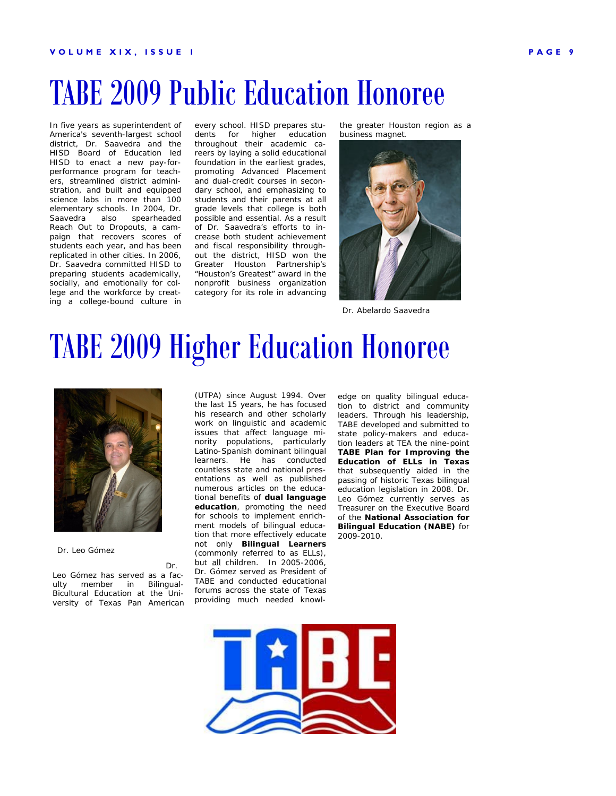## TABE 2009 Public Education Honoree

In five years as superintendent of America's seventh-largest school district, Dr. Saavedra and the HISD Board of Education led HISD to enact a new pay-forperformance program for teachers, streamlined district administration, and built and equipped science labs in more than 100 elementary schools. In 2004, Dr. Saavedra also spearheaded Reach Out to Dropouts, a campaign that recovers scores of students each year, and has been replicated in other cities. In 2006, Dr. Saavedra committed HISD to preparing students academically, socially, and emotionally for college and the workforce by creating a college-bound culture in

every school. HISD prepares students for higher education throughout their academic careers by laying a solid educational foundation in the earliest grades, promoting Advanced Placement and dual-credit courses in secondary school, and emphasizing to students and their parents at all grade levels that college is both possible and essential. As a result of Dr. Saavedra's efforts to increase both student achievement and fiscal responsibility throughout the district, HISD won the Greater Houston Partnership's "Houston's Greatest" award in the nonprofit business organization category for its role in advancing

the greater Houston region as a business magnet.

![](_page_8_Picture_5.jpeg)

Dr. Abelardo Saavedra

## TABE 2009 Higher Education Honoree

![](_page_8_Picture_8.jpeg)

Dr. Leo Gómez

Dr.

Leo Gómez has served as a faculty member in Bilingual-Bicultural Education at the University of Texas Pan American

(UTPA) since August 1994. Over the last 15 years, he has focused his research and other scholarly work on linguistic and academic issues that affect language minority populations, particularly Latino-Spanish dominant bilingual learners. He has conducted countless state and national presentations as well as published numerous articles on the educational benefits of *dual language education*, promoting the need for schools to implement *enrichment* models of bilingual education that more effectively educate not only *Bilingual Learners* (commonly referred to as ELLs), but all children. In 2005-2006, Dr. Gómez served as President of TABE and conducted educational forums across the state of Texas providing much needed knowl-

edge on quality bilingual education to district and community leaders. Through his leadership, TABE developed and submitted to state policy-makers and education leaders at TEA the nine-point *TABE Plan for Improving the Education of ELLs in Texas* that subsequently aided in the passing of historic Texas bilingual education legislation in 2008. Dr. Leo Gómez currently serves as Treasurer on the Executive Board of the **National Association for Bilingual Education (NABE)** for 2009-2010.

![](_page_8_Picture_14.jpeg)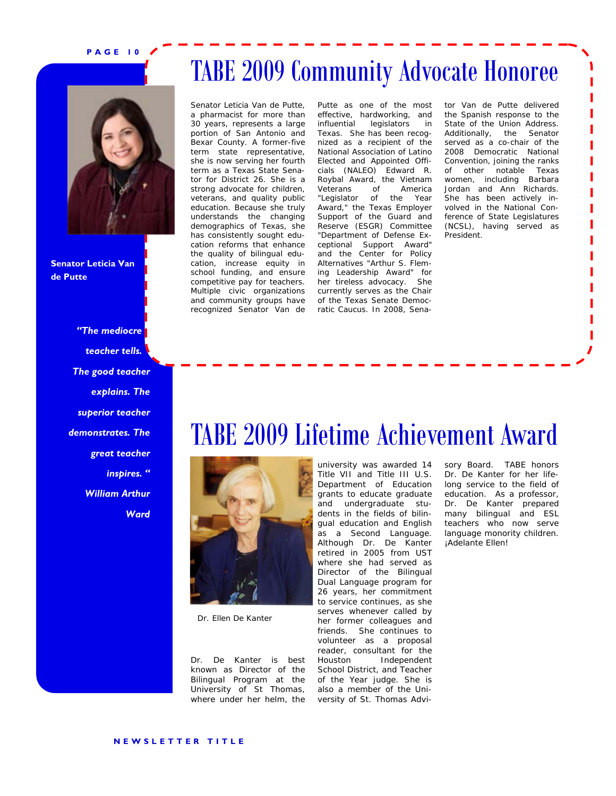![](_page_9_Picture_1.jpeg)

**Senator Leticia Van de Putte** 

> *"The mediocre teacher tells. The good teacher explains. The superior teacher demonstrates. The great teacher inspires. " William Arthur Ward*

### TABE 2009 Community Advocate Honoree

Senator Leticia Van de Putte, a pharmacist for more than 30 years, represents a large portion of San Antonio and Bexar County. A former-five term state representative, she is now serving her fourth term as a Texas State Senator for District 26. She is a strong advocate for children, veterans, and quality public education. Because she truly understands the changing demographics of Texas, she has consistently sought education reforms that enhance the quality of bilingual education, increase equity in school funding, and ensure competitive pay for teachers. Multiple civic organizations and community groups have recognized Senator Van de

Putte as one of the most effective, hardworking, and influential legislators in Texas. She has been recognized as a recipient of the National Association of Latino Elected and Appointed Officials (NALEO) Edward R. Roybal Award, the Vietnam Veterans of America "Legislator of the Year Award," the Texas Employer Support of the Guard and Reserve (ESGR) Committee "Department of Defense Exceptional Support Award" and the Center for Policy Alternatives "Arthur S. Fleming Leadership Award" for her tireless advocacy. She currently serves as the Chair of the Texas Senate Democratic Caucus. In 2008, Sena-

tor Van de Putte delivered the Spanish response to the State of the Union Address. Additionally, the Senator served as a co-chair of the 2008 Democratic National Convention, joining the ranks of other notable Texas women, including Barbara Jordan and Ann Richards. She has been actively involved in the National Conference of State Legislatures (NCSL), having served as President.

### TABE 2009 Lifetime Achievement Award

![](_page_9_Picture_9.jpeg)

Dr. Ellen De Kanter

Dr. De Kanter is best known as Director of the Bilingual Program at the University of St Thomas, where under her helm, the university was awarded 14 Title VII and Title III U.S. Department of Education grants to educate graduate and undergraduate students in the fields of bilingual education and English as a Second Language. Although Dr. De Kanter retired in 2005 from UST where she had served as Director of the Bilingual Dual Language program for 26 years, her commitment to service continues, as she serves whenever called by her former colleagues and friends. She continues to volunteer as a proposal reader, consultant for the Houston Independent School District, and Teacher of the Year judge. She is also a member of the University of St. Thomas Advisory Board. TABE honors Dr. De Kanter for her lifelong service to the field of education. As a professor, Dr. De Kanter prepared many bilingual and ESL teachers who now serve language monority children. *¡Adelante Ellen!*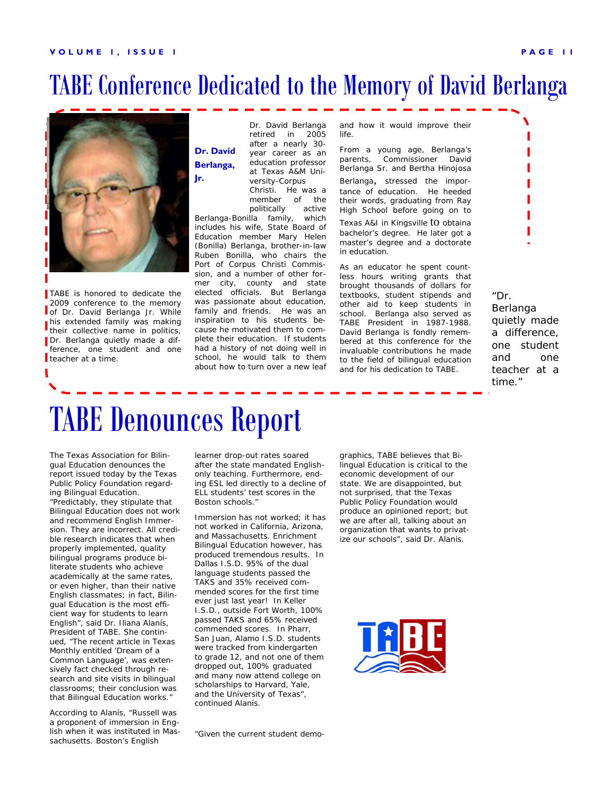### TABE Conference Dedicated to the Memory of David Berlanga

![](_page_10_Picture_2.jpeg)

TABE is honored to dedicate the 2009 conference to the memory of Dr. David Berlanga Jr. While his extended family was making their collective name in politics, Dr. Berlanga quietly made a difference, one student and one teacher at a time.

Dr. David Berlanga retired in 2005 after a nearly 30 year career as an education professor at Texas A&M University-Corpus **Dr. David Berlanga,** 

Christi. He was a

member of the politically active Berlanga-Bonilla family, which includes his wife, State Board of Education member Mary Helen (Bonilla) Berlanga, brother-in-law Ruben Bonilla, who chairs the Port of Corpus Christi Commission, and a number of other former city, county and state elected officials. But Berlanga was passionate about education, family and friends. He was an inspiration to his students because he motivated them to complete their education. If students had a history of not doing well in school, he would talk to them about how to turn over a new leaf and how it would improve their life.

From a young age, Berlanga's parents, Commissioner David Berlanga Sr. and Bertha Hinojosa

Berlanga, stressed the importance of education. He heeded their words, graduating from Ray High School before going on to

Texas A&I in Kingsville to obtaina bachelor's degree. He later got a master's degree and a doctorate in education.

As an educator he spent countless hours writing grants that brought thousands of dollars for textbooks, student stipends and other aid to keep students in school. Berlanga also served as TABE President in 1987-1988. David Berlanga is fondly remembered at this conference for the invaluable contributions he made to the field of bilingual education and for his dedication to TABE.

*"Dr. Berlanga quietly made a difference, one student and one teacher at a time."* 

## TABE Denounces Report

The Texas Association for Bilingual Education denounces the report issued today by the Texas Public Policy Foundation regarding Bilingual Education. "Predictably, they stipulate that Bilingual Education does not work and recommend English Immersion. They are incorrect. All credible research indicates that when properly implemented, quality bilingual programs produce biliterate students who achieve academically at the same rates, or even higher, than their native English classmates; in fact, Bilingual Education is the most efficient way for students to learn English", said Dr. Iliana Alanís, President of TABE. She continued, "The recent article in *Texas Monthly* entitled *'Dream of a Common Language'*, was extensively fact checked through research and site visits in bilingual classrooms; their conclusion was that Bilingual Education works."

According to Alanís, "Russell was a proponent of immersion in English when it was instituted in Massachusetts. Boston's English

learner drop-out rates soared after the state mandated Englishonly teaching. Furthermore, ending ESL led directly to a decline of ELL students' test scores in the Boston schools."

Immersion has not worked; it has not worked in California, Arizona, and Massachusetts. Enrichment Bilingual Education however, has produced tremendous results. In Dallas I.S.D. 95% of the dual language students passed the TAKS and 35% received commended scores for the first time ever just last year! In Keller I.S.D., outside Fort Worth, 100% passed TAKS and 65% received commended scores. In Pharr, San Juan, Alamo I.S.D. students were tracked from kindergarten to grade 12, and not one of them dropped out, 100% graduated and many now attend college on scholarships to Harvard, Yale, and the University of Texas", continued Alanís.

"Given the current student demo-

graphics, TABE believes that Bilingual Education is critical to the economic development of our state. We are disappointed, but not surprised, that the Texas Public Policy Foundation would produce an opinioned report; but we are after all, talking about an organization that wants to privatize our schools", said Dr. Alanis.

![](_page_10_Picture_19.jpeg)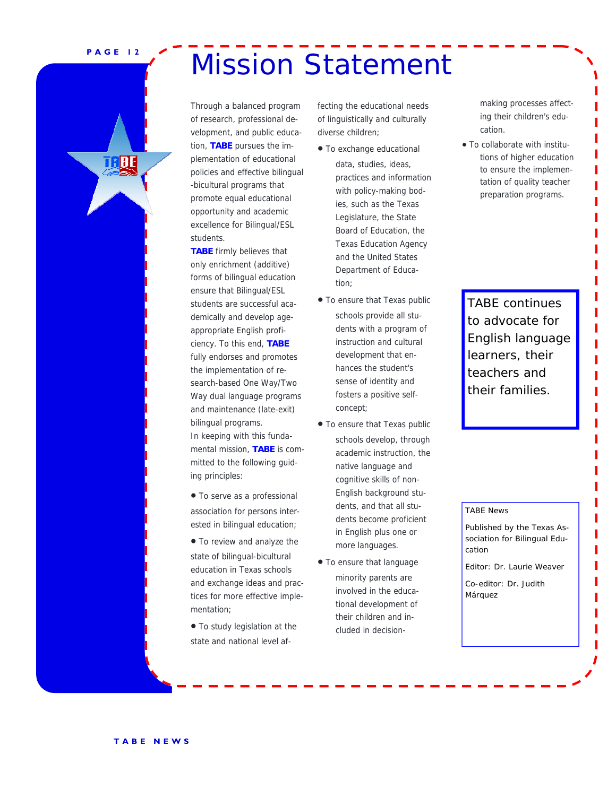THRE

## PAGE 12 **Mission Statement**

Through a balanced program of research, professional development, and public education, **TABE** pursues the implementation of educational policies and effective bilingual -bicultural programs that promote equal educational opportunity and academic excellence for Bilingual/ESL students.

**TABE** firmly believes that only enrichment (additive) forms of bilingual education ensure that Bilingual/ESL students are successful academically and develop ageappropriate English proficiency. To this end, **TABE** fully endorses and promotes the implementation of research-based One Way/Two Way dual language programs and maintenance (late-exit) bilingual programs. In keeping with this fundamental mission, **TABE** is committed to the following guiding principles:

• To serve as a professional association for persons interested in bilingual education;

• To review and analyze the

state of bilingual-bicultural education in Texas schools and exchange ideas and practices for more effective implementation;

• To study legislation at the state and national level affecting the educational needs of linguistically and culturally diverse children;

- To exchange educational data, studies, ideas, practices and information with policy-making bodies, such as the Texas Legislature, the State Board of Education, the Texas Education Agency and the United States Department of Education;
- To ensure that Texas public schools provide all students with a program of instruction and cultural development that enhances the student's sense of identity and fosters a positive selfconcept;
- To ensure that Texas public schools develop, through academic instruction, the native language and cognitive skills of non-English background students, and that all students become proficient in English plus one or more languages.
- To ensure that language minority parents are involved in the educational development of their children and included in decision-

making processes affecting their children's education.

• To collaborate with institutions of higher education to ensure the implementation of quality teacher preparation programs.

TABE continues to advocate for English language learners, their teachers and their families.

TABE News

Published by the Texas Association for Bilingual Education

Editor: Dr. Laurie Weaver

Co-editor: Dr. Judith Márquez